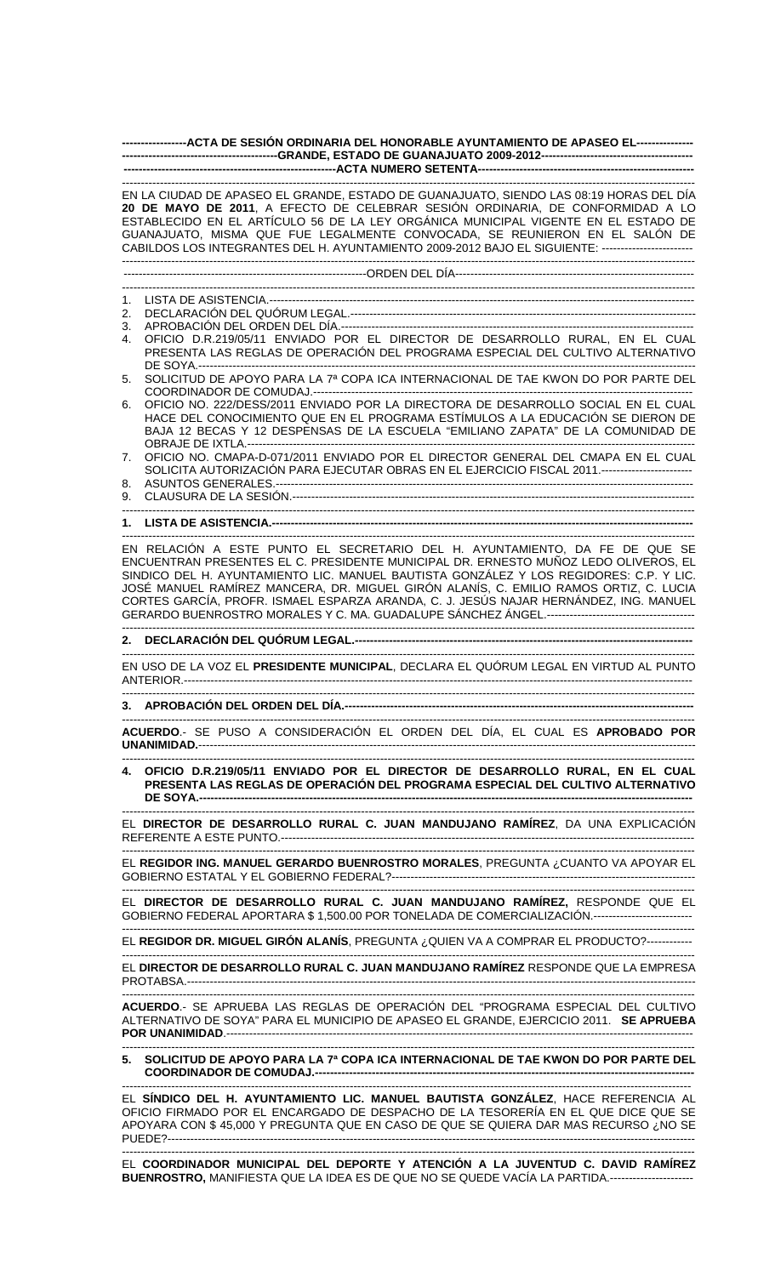**-----------------ACTA DE SESIÓN ORDINARIA DEL HONORABLE AYUNTAMIENTO DE APASEO EL--------------- -----------------------------------------GRANDE, ESTADO DE GUANAJUATO 2009-2012----------------------------------------**  ---ACTA NUMERO SETENTA-----------------------------------------------------------------------------------------------------------------------------------------------------------

EN LA CIUDAD DE APASEO EL GRANDE, ESTADO DE GUANAJUATO, SIENDO LAS 08:19 HORAS DEL DÍA **20 DE MAYO DE 2011**, A EFECTO DE CELEBRAR SESIÓN ORDINARIA, DE CONFORMIDAD A LO ESTABLECIDO EN EL ARTÍCULO 56 DE LA LEY ORGÁNICA MUNICIPAL VIGENTE EN EL ESTADO DE GUANAJUATO, MISMA QUE FUE LEGALMENTE CONVOCADA, SE REUNIERON EN EL SALÓN DE CABILDOS LOS INTEGRANTES DEL H. AYUNTAMIENTO 2009-2012 BAJO EL SIGUIENTE: ------------------------ -------------------------------------------------------------------------------------------------------------------------------------------------------

----------------------------------------------------------------ORDEN DEL DÍA---------------------------------------------------------------

------------------------------------------------------------------------------------------------------------------------------------------------------- 1. LISTA DE ASISTENCIA.----------------------------------------------------------------------------------------------------------------

- 2. DECLARACIÓN DEL QUÓRUM LEGAL.-------------------------------------------------------------------------------------------
- 3. APROBACIÓN DEL ORDEN DEL DÍA.--
- 4. OFICIO D.R.219/05/11 ENVIADO POR EL DIRECTOR DE DESARROLLO RURAL, EN EL CUAL PRESENTA LAS REGLAS DE OPERACIÓN DEL PROGRAMA ESPECIAL DEL CULTIVO ALTERNATIVO DE SOYA.-----------------------------------------------------------------------------------------------------------------------------------
- 5. SOLICITUD DE APOYO PARA LA 7ª COPA ICA INTERNACIONAL DE TAE KWON DO POR PARTE DEL COORDINADOR DE COMUDAJ.----
- 6. OFICIO NO. 222/DESS/2011 ENVIADO POR LA DIRECTORA DE DESARROLLO SOCIAL EN EL CUAL HACE DEL CONOCIMIENTO QUE EN EL PROGRAMA ESTÍMULOS A LA EDUCACIÓN SE DIERON DE BAJA 12 BECAS Y 12 DESPENSAS DE LA ESCUELA "EMILIANO ZAPATA" DE LA COMUNIDAD DE OBRAJE DE IXTLA.--
- 7. OFICIO NO. CMAPA-D-071/2011 ENVIADO POR EL DIRECTOR GENERAL DEL CMAPA EN EL CUAL SOLICITA AUTORIZACIÓN PARA EJECUTAR OBRAS EN EL EJERCICIO FISCAL 2011.------------------------
- 8. ASUNTOS GENERALES.-------------------------------------------------------------------------------------------------------------- 9. CLAUSURA DE LA SESIÓN.----------------------------------------------------------------------------------------------------------
- -------------------------------------------------------------------------------------------------------------------------------------------------------
- **1. LISTA DE ASISTENCIA.--**-------------------------------------------------------------------------------------------------------------------------------------------------------

EN RELACIÓN A ESTE PUNTO EL SECRETARIO DEL H. AYUNTAMIENTO, DA FE DE QUE SE ENCUENTRAN PRESENTES EL C. PRESIDENTE MUNICIPAL DR. ERNESTO MUÑOZ LEDO OLIVEROS, EL SINDICO DEL H. AYUNTAMIENTO LIC. MANUEL BAUTISTA GONZÁLEZ Y LOS REGIDORES: C.P. Y LIC. JOSÉ MANUEL RAMÍREZ MANCERA, DR. MIGUEL GIRÓN ALANÍS, C. EMILIO RAMOS ORTIZ, C. LUCIA CORTES GARCÍA, PROFR. ISMAEL ESPARZA ARANDA, C. J. JESÚS NAJAR HERNÁNDEZ, ING. MANUEL GERARDO BUENROSTRO MORALES Y C. MA. GUADALUPE SÁNCHEZ ÁNGEL.--------------------------------------- -------------------------------------------------------------------------------------------------------------------------------------------------------

## **2. DECLARACIÓN DEL QUÓRUM LEGAL.-----------------------------------------------------------------------------------------**

------------------------------------------------------------------------------------------------------------------------------------------------------- EN USO DE LA VOZ EL **PRESIDENTE MUNICIPAL**, DECLARA EL QUÓRUM LEGAL EN VIRTUD AL PUNTO ANTERIOR.--------------------------------------------------------------------------------------------------------------------------------------

-------------------------------------------------------------------------------------------------------------------------------------------------------

## **3. APROBACIÓN DEL ORDEN DEL DÍA.--------------------------------------------------------------------------------------------**

------------------------------------------------------------------------------------------------------------------------------------------------------- **ACUERDO**.- SE PUSO A CONSIDERACIÓN EL ORDEN DEL DÍA, EL CUAL ES **APROBADO POR UNANIMIDAD.**-----------------------------------------------------------------------------------------------------------------------------------

------------------------------------------------------------------------------------------------------------------------------------------------------- **4. OFICIO D.R.219/05/11 ENVIADO POR EL DIRECTOR DE DESARROLLO RURAL, EN EL CUAL PRESENTA LAS REGLAS DE OPERACIÓN DEL PROGRAMA ESPECIAL DEL CULTIVO ALTERNATIVO DE SOYA.----------------------------------------------------------------------------------------------------------------------------------** 

------------------------------------------------------------------------------------------------------------------------------------------------------- EL **DIRECTOR DE DESARROLLO RURAL C. JUAN MANDUJANO RAMÍREZ**, DA UNA EXPLICACIÓN REFERENTE A ESTE PUNTO.--------------------------

------------------------------------------------------------------------------------------------------------------------------------------------------- EL **REGIDOR ING. MANUEL GERARDO BUENROSTRO MORALES**, PREGUNTA ¿CUANTO VA APOYAR EL GOBIERNO ESTATAL Y EL GOBIERNO FEDERAL?--------------------------------------------------------------------------------

------------------------------------------------------------------------------------------------------------------------------------------------------- EL **DIRECTOR DE DESARROLLO RURAL C. JUAN MANDUJANO RAMÍREZ,** RESPONDE QUE EL GOBIERNO FEDERAL APORTARA \$ 1,500.00 POR TONELADA DE COMERCIALIZACIÓN.--------------------------

------------------------------------------------------------------------------------------------------------------------------------------------------- EL **REGIDOR DR. MIGUEL GIRÓN ALANÍS**, PREGUNTA ¿QUIEN VA A COMPRAR EL PRODUCTO?------------

------------------------------------------------------------------------------------------------------------------------------------------------------- EL **DIRECTOR DE DESARROLLO RURAL C. JUAN MANDUJANO RAMÍREZ** RESPONDE QUE LA EMPRESA PROTABSA.---

------------------------------------------------------------------------------------------------------------------------------------------------------- **ACUERDO**.- SE APRUEBA LAS REGLAS DE OPERACIÓN DEL "PROGRAMA ESPECIAL DEL CULTIVO ALTERNATIVO DE SOYA" PARA EL MUNICIPIO DE APASEO EL GRANDE, EJERCICIO 2011. **SE APRUEBA POR UNANIMIDAD**.--------------------------------------------------------------------------------------------------------------------------- -------------------------------------------------------------------------------------------------------------------------------------------------------

**5. SOLICITUD DE APOYO PARA LA 7ª COPA ICA INTERNACIONAL DE TAE KWON DO POR PARTE DEL**  COORDINADOR DE COMUDAJ.-----

------------------------------------------------------------------------------------------------------------------------------------------------------ EL **SÍNDICO DEL H. AYUNTAMIENTO LIC. MANUEL BAUTISTA GONZÁLEZ**, HACE REFERENCIA AL OFICIO FIRMADO POR EL ENCARGADO DE DESPACHO DE LA TESORERÍA EN EL QUE DICE QUE SE APOYARA CON \$ 45,000 Y PREGUNTA QUE EN CASO DE QUE SE QUIERA DAR MAS RECURSO ¿NO SE PUEDE?-------------------------------------------------------------------------------------------------------------------------------------------

------------------------------------------------------------------------------------------------------------------------------------------------------- EL **COORDINADOR MUNICIPAL DEL DEPORTE Y ATENCIÓN A LA JUVENTUD C. DAVID RAMÍREZ BUENROSTRO,** MANIFIESTA QUE LA IDEA ES DE QUE NO SE QUEDE VACÍA LA PARTIDA.----------------------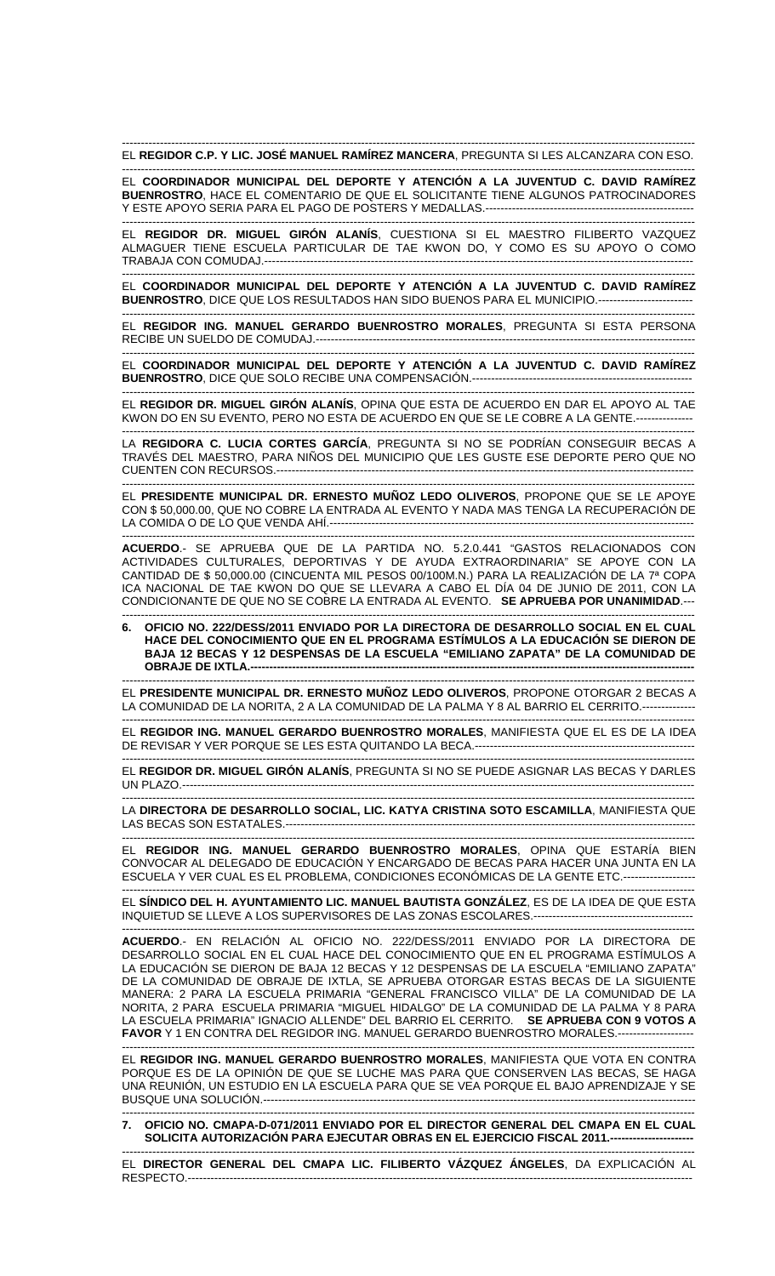------------------------------------------------------------------------------------------------------------------------------------------------------- EL **REGIDOR C.P. Y LIC. JOSÉ MANUEL RAMÍREZ MANCERA**, PREGUNTA SI LES ALCANZARA CON ESO.

------------------------------------------------------------------------------------------------------------------------------------------------------- EL **COORDINADOR MUNICIPAL DEL DEPORTE Y ATENCIÓN A LA JUVENTUD C. DAVID RAMÍREZ BUENROSTRO**, HACE EL COMENTARIO DE QUE EL SOLICITANTE TIENE ALGUNOS PATROCINADORES Y ESTE APOYO SERIA PARA EL PAGO DE POSTERS Y MEDALLAS.--------------------------------

------------------------------------------------------------------------------------------------------------------------------------------------------- EL **REGIDOR DR. MIGUEL GIRÓN ALANÍS**, CUESTIONA SI EL MAESTRO FILIBERTO VAZQUEZ ALMAGUER TIENE ESCUELA PARTICULAR DE TAE KWON DO, Y COMO ES SU APOYO O COMO TRABAJA CON COMUDAJ.-----------------------------------------------------------------------------------------------------------------

------------------------------------------------------------------------------------------------------------------------------------------------------- EL **COORDINADOR MUNICIPAL DEL DEPORTE Y ATENCIÓN A LA JUVENTUD C. DAVID RAMÍREZ BUENROSTRO**, DICE QUE LOS RESULTADOS HAN SIDO BUENOS PARA EL MUNICIPIO.-------------------------

------------------------------------------------------------------------------------------------------------------------------------------------------- EL **REGIDOR ING. MANUEL GERARDO BUENROSTRO MORALES**, PREGUNTA SI ESTA PERSONA RECIBE UN SUELDO DE COMUDAJ.----------------------------------------------------------------------------------------------------

------------------------------------------------------------------------------------------------------------------------------------------------------- EL **COORDINADOR MUNICIPAL DEL DEPORTE Y ATENCIÓN A LA JUVENTUD C. DAVID RAMÍREZ BUENROSTRO**, DICE QUE SOLO RECIBE UNA COMPENSACIÓN.---------------------------------------------------------- -------------------------------------------------------------------------------------------------------------------------------------------------------

EL **REGIDOR DR. MIGUEL GIRÓN ALANÍS**, OPINA QUE ESTA DE ACUERDO EN DAR EL APOYO AL TAE KWON DO EN SU EVENTO, PERO NO ESTA DE ACUERDO EN QUE SE LE COBRE A LA GENTE.--------------- -------------------------------------------------------------------------------------------------------------------------------------------------------

LA **REGIDORA C. LUCIA CORTES GARCÍA**, PREGUNTA SI NO SE PODRÍAN CONSEGUIR BECAS A TRAVÉS DEL MAESTRO, PARA NIÑOS DEL MUNICIPIO QUE LES GUSTE ESE DEPORTE PERO QUE NO CUENTEN CON RECURSOS.--------------------------------------------------------------------------------------------------------------

------------------------------------------------------------------------------------------------------------------------------------------------------- EL **PRESIDENTE MUNICIPAL DR. ERNESTO MUÑOZ LEDO OLIVEROS**, PROPONE QUE SE LE APOYE CON \$ 50,000.00, QUE NO COBRE LA ENTRADA AL EVENTO Y NADA MAS TENGA LA RECUPERACIÓN DE LA COMIDA O DE LO QUE VENDA AHÍ.----

-------------------------------------------------------------------------------------------------------------------------------------------------------

**ACUERDO**.- SE APRUEBA QUE DE LA PARTIDA NO. 5.2.0.441 "GASTOS RELACIONADOS CON ACTIVIDADES CULTURALES, DEPORTIVAS Y DE AYUDA EXTRAORDINARIA" SE APOYE CON LA CANTIDAD DE \$ 50,000.00 (CINCUENTA MIL PESOS 00/100M.N.) PARA LA REALIZACIÓN DE LA 7ª COPA ICA NACIONAL DE TAE KWON DO QUE SE LLEVARA A CABO EL DÍA 04 DE JUNIO DE 2011, CON LA CONDICIONANTE DE QUE NO SE COBRE LA ENTRADA AL EVENTO. **SE APRUEBA POR UNANIMIDAD**.---

------------------------------------------------------------------------------------------------------------------------------------------------------- **6. OFICIO NO. 222/DESS/2011 ENVIADO POR LA DIRECTORA DE DESARROLLO SOCIAL EN EL CUAL HACE DEL CONOCIMIENTO QUE EN EL PROGRAMA ESTÍMULOS A LA EDUCACIÓN SE DIERON DE BAJA 12 BECAS Y 12 DESPENSAS DE LA ESCUELA "EMILIANO ZAPATA" DE LA COMUNIDAD DE OBRAJE DE IXTLA.--**

------------------------------------------------------------------------------------------------------------------------------------------------------- EL **PRESIDENTE MUNICIPAL DR. ERNESTO MUÑOZ LEDO OLIVEROS**, PROPONE OTORGAR 2 BECAS A LA COMUNIDAD DE LA NORITA, 2 A LA COMUNIDAD DE LA PALMA Y 8 AL BARRIO EL CERRITO.----

------------------------------------------------------------------------------------------------------------------------------------------------------- EL **REGIDOR ING. MANUEL GERARDO BUENROSTRO MORALES**, MANIFIESTA QUE EL ES DE LA IDEA DE REVISAR Y VER PORQUE SE LES ESTA QUITANDO LA BECA.----------------------------------------------------------

------------------------------------------------------------------------------------------------------------------------------------------------------- EL **REGIDOR DR. MIGUEL GIRÓN ALANÍS**, PREGUNTA SI NO SE PUEDE ASIGNAR LAS BECAS Y DARLES UN PLAZO.---------------------------------------------------------------------------------------------------------------------------------------

------------------------------------------------------------------------------------------------------------------------------------------------------- LA **DIRECTORA DE DESARROLLO SOCIAL, LIC. KATYA CRISTINA SOTO ESCAMILLA**, MANIFIESTA QUE LAS BECAS SON ESTATALES.------------------

------------------------------------------------------------------------------------------------------------------------------------------------------- EL **REGIDOR ING. MANUEL GERARDO BUENROSTRO MORALES**, OPINA QUE ESTARÍA BIEN CONVOCAR AL DELEGADO DE EDUCACIÓN Y ENCARGADO DE BECAS PARA HACER UNA JUNTA EN LA ESCUELA Y VER CUAL ES EL PROBLEMA, CONDICIONES ECONÓMICAS DE LA GENTE ETC.-------------------

------------------------------------------------------------------------------------------------------------------------------------------------------- EL **SÍNDICO DEL H. AYUNTAMIENTO LIC. MANUEL BAUTISTA GONZÁLEZ**, ES DE LA IDEA DE QUE ESTA INQUIETUD SE LLEVE A LOS SUPERVISORES DE LAS ZONAS ESCOLARES.------------------------------------------ -------------------------------------------------------------------------------------------------------------------------------------------------------

**ACUERDO**.- EN RELACIÓN AL OFICIO NO. 222/DESS/2011 ENVIADO POR LA DIRECTORA DE DESARROLLO SOCIAL EN EL CUAL HACE DEL CONOCIMIENTO QUE EN EL PROGRAMA ESTÍMULOS A LA EDUCACIÓN SE DIERON DE BAJA 12 BECAS Y 12 DESPENSAS DE LA ESCUELA "EMILIANO ZAPATA" DE LA COMUNIDAD DE OBRAJE DE IXTLA, SE APRUEBA OTORGAR ESTAS BECAS DE LA SIGUIENTE MANERA: 2 PARA LA ESCUELA PRIMARIA "GENERAL FRANCISCO VILLA" DE LA COMUNIDAD DE LA NORITA, 2 PARA ESCUELA PRIMARIA "MIGUEL HIDALGO" DE LA COMUNIDAD DE LA PALMA Y 8 PARA LA ESCUELA PRIMARIA" IGNACIO ALLENDE" DEL BARRIO EL CERRITO. **SE APRUEBA CON 9 VOTOS A FAVOR** Y 1 EN CONTRA DEL REGIDOR ING. MANUEL GERARDO BUENROSTRO MORALES.--------------------

------------------------------------------------------------------------------------------------------------------------------------------------------- EL **REGIDOR ING. MANUEL GERARDO BUENROSTRO MORALES**, MANIFIESTA QUE VOTA EN CONTRA PORQUE ES DE LA OPINIÓN DE QUE SE LUCHE MAS PARA QUE CONSERVEN LAS BECAS, SE HAGA UNA REUNIÓN, UN ESTUDIO EN LA ESCUELA PARA QUE SE VEA PORQUE EL BAJO APRENDIZAJE Y SE BUSQUE UNA SOLUCIÓN.------------------------------------------------------------------------------------------------------------------

------------------------------------------------------------------------------------------------------------------------------------------------------- **7. OFICIO NO. CMAPA-D-071/2011 ENVIADO POR EL DIRECTOR GENERAL DEL CMAPA EN EL CUAL SOLICITA AUTORIZACIÓN PARA EJECUTAR OBRAS EN EL EJERCICIO FISCAL 2011.----------------------** 

------------------------------------------------------------------------------------------------------------------------------------------------------- EL **DIRECTOR GENERAL DEL CMAPA LIC. FILIBERTO VÁZQUEZ ÁNGELES**, DA EXPLICACIÓN AL RESPECTO.--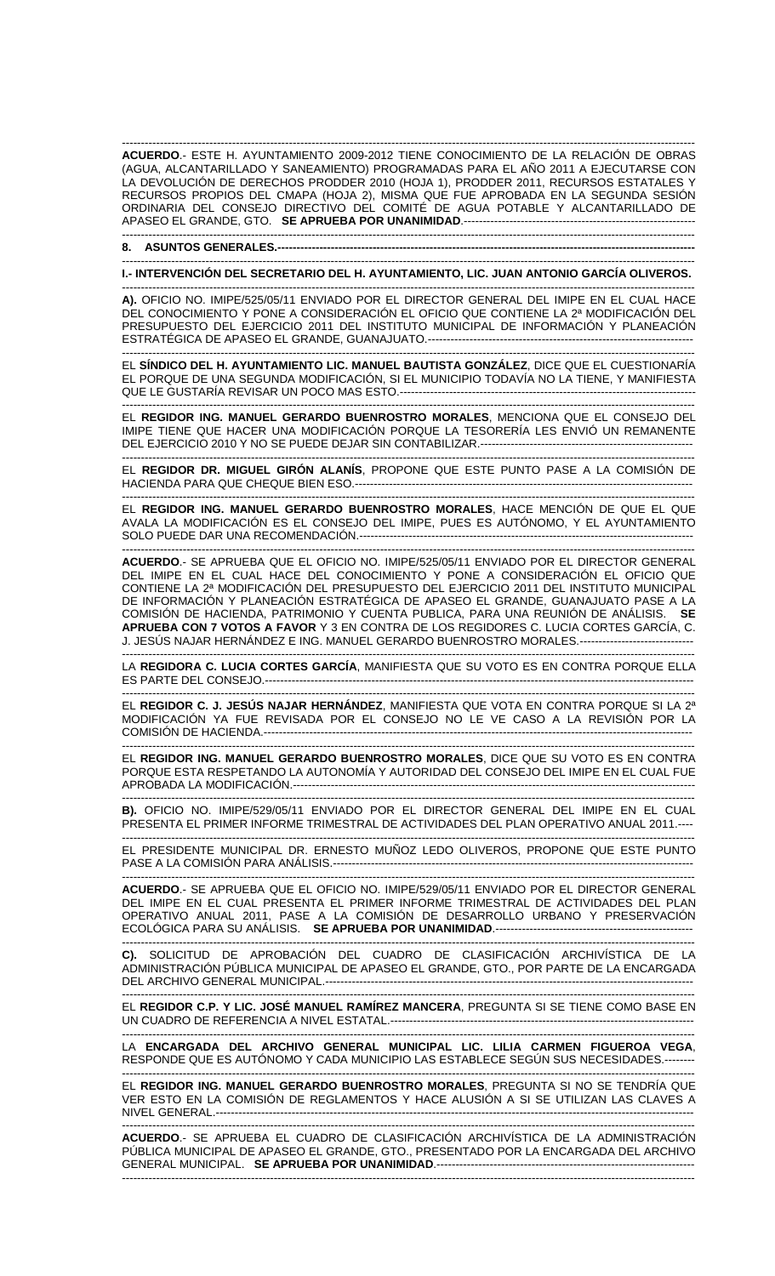------------------------------------------------------------------------------------------------------------------------------------------------------- **ACUERDO**.- ESTE H. AYUNTAMIENTO 2009-2012 TIENE CONOCIMIENTO DE LA RELACIÓN DE OBRAS (AGUA, ALCANTARILLADO Y SANEAMIENTO) PROGRAMADAS PARA EL AÑO 2011 A EJECUTARSE CON LA DEVOLUCIÓN DE DERECHOS PRODDER 2010 (HOJA 1), PRODDER 2011, RECURSOS ESTATALES Y RECURSOS PROPIOS DEL CMAPA (HOJA 2), MISMA QUE FUE APROBADA EN LA SEGUNDA SESIÓN ORDINARIA DEL CONSEJO DIRECTIVO DEL COMITÉ DE AGUA POTABLE Y ALCANTARILLADO DE APASEO EL GRANDE, GTO. **SE APRUEBA POR UNANIMIDAD**.-------------------------------------------------------------

-------------------------------------------------------------------------------------------------------------------------------------------------------

## **8. ASUNTOS GENERALES.----**

------------------------------------------------------------------------------------------------------------------------------------------------------- **I.- INTERVENCIÓN DEL SECRETARIO DEL H. AYUNTAMIENTO, LIC. JUAN ANTONIO GARCÍA OLIVEROS.** 

------------------------------------------------------------------------------------------------------------------------------------------------------- **A).** OFICIO NO. IMIPE/525/05/11 ENVIADO POR EL DIRECTOR GENERAL DEL IMIPE EN EL CUAL HACE DEL CONOCIMIENTO Y PONE A CONSIDERACIÓN EL OFICIO QUE CONTIENE LA 2ª MODIFICACIÓN DEL PRESUPUESTO DEL EJERCICIO 2011 DEL INSTITUTO MUNICIPAL DE INFORMACIÓN Y PLANEACIÓN ESTRATÉGICA DE APASEO EL GRANDE, GUANAJUATO.----------------------------------------------------------------------

------------------------------------------------------------------------------------------------------------------------------------------------------- EL **SÍNDICO DEL H. AYUNTAMIENTO LIC. MANUEL BAUTISTA GONZÁLEZ**, DICE QUE EL CUESTIONARÍA EL PORQUE DE UNA SEGUNDA MODIFICACIÓN, SI EL MUNICIPIO TODAVÍA NO LA TIENE, Y MANIFIESTA QUE LE GUSTARÍA REVISAR UN POCO MAS ESTO.------------------------------------------------------------------------------

------------------------------------------------------------------------------------------------------------------------------------------------------- EL **REGIDOR ING. MANUEL GERARDO BUENROSTRO MORALES**, MENCIONA QUE EL CONSEJO DEL IMIPE TIENE QUE HACER UNA MODIFICACIÓN PORQUE LA TESORERÍA LES ENVIÓ UN REMANENTE DEL EJERCICIO 2010 Y NO SE PUEDE DEJAR SIN CONTABILIZAR.--------------------------------------------------------

------------------------------------------------------------------------------------------------------------------------------------------------------- EL **REGIDOR DR. MIGUEL GIRÓN ALANÍS**, PROPONE QUE ESTE PUNTO PASE A LA COMISIÓN DE HACIENDA PARA QUE CHEQUE BIEN ESO.----------------------------------------------------------------------------------------- -------------------------------------------------------------------------------------------------------------------------------------------------------

EL **REGIDOR ING. MANUEL GERARDO BUENROSTRO MORALES**, HACE MENCIÓN DE QUE EL QUE AVALA LA MODIFICACIÓN ES EL CONSEJO DEL IMIPE, PUES ES AUTÓNOMO, Y EL AYUNTAMIENTO SOLO PUEDE DAR UNA RECOMENDACIÓN.----------------------------------------------------------------------------------------

------------------------------------------------------------------------------------------------------------------------------------------------------- **ACUERDO**.- SE APRUEBA QUE EL OFICIO NO. IMIPE/525/05/11 ENVIADO POR EL DIRECTOR GENERAL DEL IMIPE EN EL CUAL HACE DEL CONOCIMIENTO Y PONE A CONSIDERACIÓN EL OFICIO QUE CONTIENE LA 2ª MODIFICACIÓN DEL PRESUPUESTO DEL EJERCICIO 2011 DEL INSTITUTO MUNICIPAL DE INFORMACIÓN Y PLANEACIÓN ESTRATÉGICA DE APASEO EL GRANDE, GUANAJUATO PASE A LA COMISIÓN DE HACIENDA, PATRIMONIO Y CUENTA PUBLICA, PARA UNA REUNIÓN DE ANÁLISIS. **SE APRUEBA CON 7 VOTOS A FAVOR** Y 3 EN CONTRA DE LOS REGIDORES C. LUCIA CORTES GARCÍA, C. J. JESÚS NAJAR HERNÁNDEZ E ING. MANUEL GERARDO BUENROSTRO MORALES.------------------------------

------------------------------------------------------------------------------------------------------------------------------------------------------- LA **REGIDORA C. LUCIA CORTES GARCÍA**, MANIFIESTA QUE SU VOTO ES EN CONTRA PORQUE ELLA ES PARTE DEL CONSEJO.-----------------------------------------------------------------------------------------------------------------

------------------------------------------------------------------------------------------------------------------------------------------------------- EL **REGIDOR C. J. JESÚS NAJAR HERNÁNDEZ**, MANIFIESTA QUE VOTA EN CONTRA PORQUE SI LA 2ª MODIFICACIÓN YA FUE REVISADA POR EL CONSEJO NO LE VE CASO A LA REVISIÓN POR LA COMISIÓN DE HACIENDA.-----------------------------------------------------------------------------------------------------------------

------------------------------------------------------------------------------------------------------------------------------------------------------- EL **REGIDOR ING. MANUEL GERARDO BUENROSTRO MORALES**, DICE QUE SU VOTO ES EN CONTRA PORQUE ESTA RESPETANDO LA AUTONOMÍA Y AUTORIDAD DEL CONSEJO DEL IMIPE EN EL CUAL FUE APROBADA LA MODIFICACIÓN.----------------------------------------------------------------------------------------------------------

------------------------------------------------------------------------------------------------------------------------------------------------------- **B).** OFICIO NO. IMIPE/529/05/11 ENVIADO POR EL DIRECTOR GENERAL DEL IMIPE EN EL CUAL PRESENTA EL PRIMER INFORME TRIMESTRAL DE ACTIVIDADES DEL PLAN OPERATIVO ANUAL 2011.----

------------------------------------------------------------------------------------------------------------------------------------------------------- EL PRESIDENTE MUNICIPAL DR. ERNESTO MUÑOZ LEDO OLIVEROS, PROPONE QUE ESTE PUNTO PASE A LA COMISIÓN PARA ANÁLISIS.-----------------------------------------------------------------------------------------------

------------------------------------------------------------------------------------------------------------------------------------------------------- **ACUERDO**.- SE APRUEBA QUE EL OFICIO NO. IMIPE/529/05/11 ENVIADO POR EL DIRECTOR GENERAL DEL IMIPE EN EL CUAL PRESENTA EL PRIMER INFORME TRIMESTRAL DE ACTIVIDADES DEL PLAN OPERATIVO ANUAL 2011, PASE A LA COMISIÓN DE DESARROLLO URBANO Y PRESERVACIÓN ECOLÓGICA PARA SU ANÁLISIS. **SE APRUEBA POR UNANIMIDAD**.----------------------------------------------------

------------------------------------------------------------------------------------------------------------------------------------------------------- **C).** SOLICITUD DE APROBACIÓN DEL CUADRO DE CLASIFICACIÓN ARCHIVÍSTICA DE LA ADMINISTRACIÓN PÚBLICA MUNICIPAL DE APASEO EL GRANDE, GTO., POR PARTE DE LA ENCARGADA DEL ARCHIVO GENERAL MUNICIPAL.---------------------------

------------------------------------------------------------------------------------------------------------------------------------------------------- EL **REGIDOR C.P. Y LIC. JOSÉ MANUEL RAMÍREZ MANCERA**, PREGUNTA SI SE TIENE COMO BASE EN UN CUADRO DE REFERENCIA A NIVEL ESTATAL.--------------------------------------------------------------------------------

------------------------------------------------------------------------------------------------------------------------------------------------------- LA **ENCARGADA DEL ARCHIVO GENERAL MUNICIPAL LIC. LILIA CARMEN FIGUEROA VEGA**, RESPONDE QUE ES AUTÓNOMO Y CADA MUNICIPIO LAS ESTABLECE SEGÚN SUS NECESIDADES.--------

------------------------------------------------------------------------------------------------------------------------------------------------------- EL **REGIDOR ING. MANUEL GERARDO BUENROSTRO MORALES**, PREGUNTA SI NO SE TENDRÍA QUE VER ESTO EN LA COMISIÓN DE REGLAMENTOS Y HACE ALUSIÓN A SI SE UTILIZAN LAS CLAVES A NIVEL GENERAL.------------------------------------------------------------------------------------------------------------------------------

------------------------------------------------------------------------------------------------------------------------------------------------------- **ACUERDO**.- SE APRUEBA EL CUADRO DE CLASIFICACIÓN ARCHIVÍSTICA DE LA ADMINISTRACIÓN PÚBLICA MUNICIPAL DE APASEO EL GRANDE, GTO., PRESENTADO POR LA ENCARGADA DEL ARCHIVO GENERAL MUNICIPAL. **SE APRUEBA POR UNANIMIDAD**.-------------------------------------------------------------------- -------------------------------------------------------------------------------------------------------------------------------------------------------